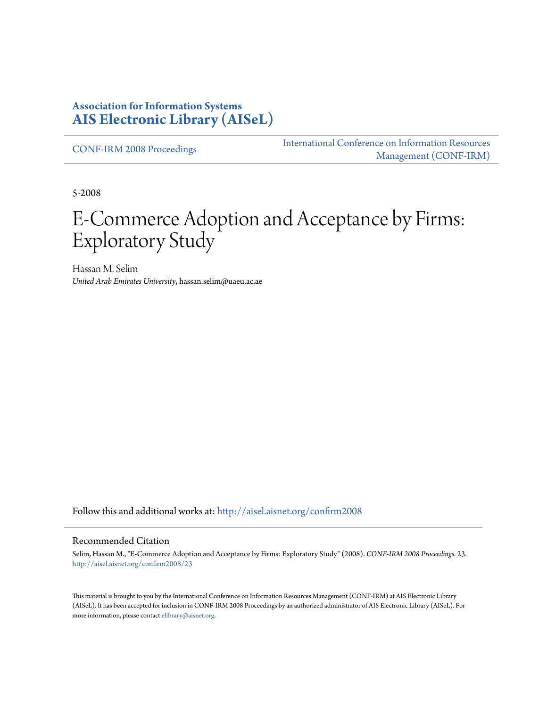#### **Association for Information Systems [AIS Electronic Library \(AISeL\)](http://aisel.aisnet.org?utm_source=aisel.aisnet.org%2Fconfirm2008%2F23&utm_medium=PDF&utm_campaign=PDFCoverPages)**

[CONF-IRM 2008 Proceedings](http://aisel.aisnet.org/confirm2008?utm_source=aisel.aisnet.org%2Fconfirm2008%2F23&utm_medium=PDF&utm_campaign=PDFCoverPages)

[International Conference on Information Resources](http://aisel.aisnet.org/conf-irm?utm_source=aisel.aisnet.org%2Fconfirm2008%2F23&utm_medium=PDF&utm_campaign=PDFCoverPages) [Management \(CONF-IRM\)](http://aisel.aisnet.org/conf-irm?utm_source=aisel.aisnet.org%2Fconfirm2008%2F23&utm_medium=PDF&utm_campaign=PDFCoverPages)

5-2008

# E-Commerce Adoption and Acceptance by Firms: Exploratory Study

Hassan M. Selim *United Arab Emirates University*, hassan.selim@uaeu.ac.ae

Follow this and additional works at: [http://aisel.aisnet.org/confirm2008](http://aisel.aisnet.org/confirm2008?utm_source=aisel.aisnet.org%2Fconfirm2008%2F23&utm_medium=PDF&utm_campaign=PDFCoverPages)

#### Recommended Citation

Selim, Hassan M., "E-Commerce Adoption and Acceptance by Firms: Exploratory Study" (2008). *CONF-IRM 2008 Proceedings*. 23. [http://aisel.aisnet.org/confirm2008/23](http://aisel.aisnet.org/confirm2008/23?utm_source=aisel.aisnet.org%2Fconfirm2008%2F23&utm_medium=PDF&utm_campaign=PDFCoverPages)

This material is brought to you by the International Conference on Information Resources Management (CONF-IRM) at AIS Electronic Library (AISeL). It has been accepted for inclusion in CONF-IRM 2008 Proceedings by an authorized administrator of AIS Electronic Library (AISeL). For more information, please contact [elibrary@aisnet.org.](mailto:elibrary@aisnet.org%3E)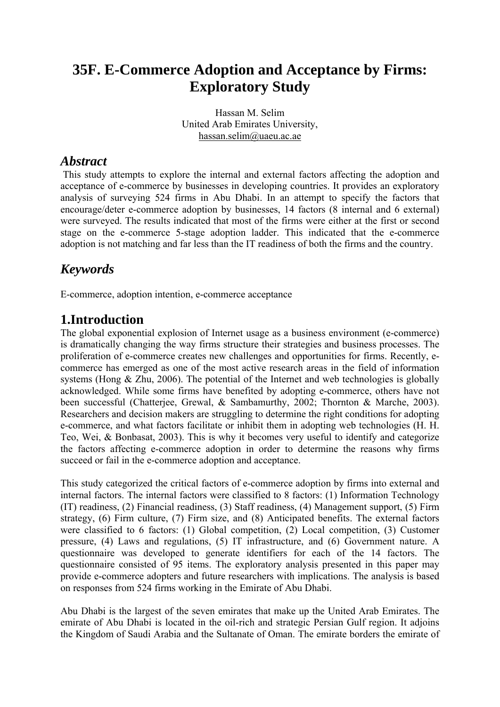# **35F. E-Commerce Adoption and Acceptance by Firms: Exploratory Study**

Hassan M. Selim United Arab Emirates University, hassan.selim@uaeu.ac.ae

#### *Abstract*

This study attempts to explore the internal and external factors affecting the adoption and acceptance of e-commerce by businesses in developing countries. It provides an exploratory analysis of surveying 524 firms in Abu Dhabi. In an attempt to specify the factors that encourage/deter e-commerce adoption by businesses, 14 factors (8 internal and 6 external) were surveyed. The results indicated that most of the firms were either at the first or second stage on the e-commerce 5-stage adoption ladder. This indicated that the e-commerce adoption is not matching and far less than the IT readiness of both the firms and the country.

# *Keywords*

E-commerce, adoption intention, e-commerce acceptance

# **1.Introduction**

The global exponential explosion of Internet usage as a business environment (e-commerce) is dramatically changing the way firms structure their strategies and business processes. The proliferation of e-commerce creates new challenges and opportunities for firms. Recently, ecommerce has emerged as one of the most active research areas in the field of information systems (Hong & Zhu, 2006). The potential of the Internet and web technologies is globally acknowledged. While some firms have benefited by adopting e-commerce, others have not been successful (Chatterjee, Grewal, & Sambamurthy, 2002; Thornton & Marche, 2003). Researchers and decision makers are struggling to determine the right conditions for adopting e-commerce, and what factors facilitate or inhibit them in adopting web technologies (H. H. Teo, Wei, & Bonbasat, 2003). This is why it becomes very useful to identify and categorize the factors affecting e-commerce adoption in order to determine the reasons why firms succeed or fail in the e-commerce adoption and acceptance.

This study categorized the critical factors of e-commerce adoption by firms into external and internal factors. The internal factors were classified to 8 factors: (1) Information Technology (IT) readiness, (2) Financial readiness, (3) Staff readiness, (4) Management support, (5) Firm strategy, (6) Firm culture, (7) Firm size, and (8) Anticipated benefits. The external factors were classified to 6 factors: (1) Global competition, (2) Local competition, (3) Customer pressure, (4) Laws and regulations, (5) IT infrastructure, and (6) Government nature. A questionnaire was developed to generate identifiers for each of the 14 factors. The questionnaire consisted of 95 items. The exploratory analysis presented in this paper may provide e-commerce adopters and future researchers with implications. The analysis is based on responses from 524 firms working in the Emirate of Abu Dhabi.

Abu Dhabi is the largest of the seven emirates that make up the United Arab Emirates. The emirate of Abu Dhabi is located in the oil-rich and strategic Persian Gulf region. It adjoins the Kingdom of Saudi Arabia and the Sultanate of Oman. The emirate borders the emirate of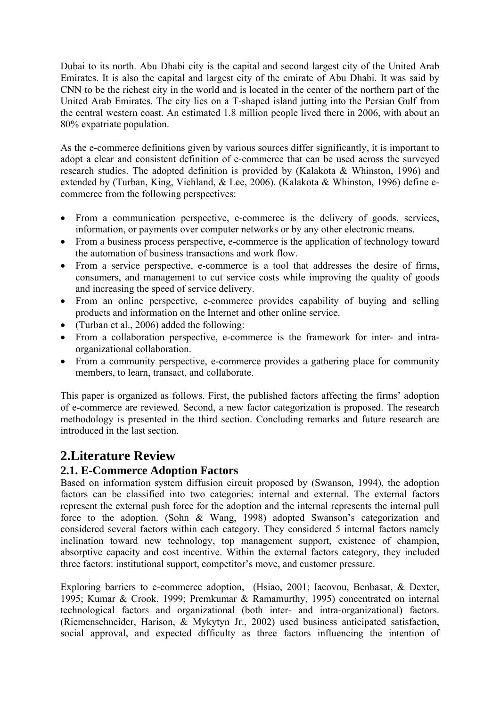Dubai to its north. Abu Dhabi city is the capital and second largest city of the United Arab Emirates. It is also the capital and largest city of the emirate of Abu Dhabi. It was said by CNN to be the richest city in the world and is located in the center of the northern part of the United Arab Emirates. The city lies on a T-shaped island jutting into the Persian Gulf from the central western coast. An estimated 1.8 million people lived there in 2006, with about an 80% expatriate population.

As the e-commerce definitions given by various sources differ significantly, it is important to adopt a clear and consistent definition of e-commerce that can be used across the surveyed research studies. The adopted definition is provided by (Kalakota & Whinston, 1996) and extended by (Turban, King, Viehland, & Lee, 2006). (Kalakota & Whinston, 1996) define ecommerce from the following perspectives:

- From a communication perspective, e-commerce is the delivery of goods, services, information, or payments over computer networks or by any other electronic means.
- From a business process perspective, e-commerce is the application of technology toward the automation of business transactions and work flow.
- From a service perspective, e-commerce is a tool that addresses the desire of firms, consumers, and management to cut service costs while improving the quality of goods and increasing the speed of service delivery.
- From an online perspective, e-commerce provides capability of buying and selling products and information on the Internet and other online service.
- (Turban et al., 2006) added the following:
- From a collaboration perspective, e-commerce is the framework for inter- and intraorganizational collaboration.
- From a community perspective, e-commerce provides a gathering place for community members, to learn, transact, and collaborate.

This paper is organized as follows. First, the published factors affecting the firms' adoption of e-commerce are reviewed. Second, a new factor categorization is proposed. The research methodology is presented in the third section. Concluding remarks and future research are introduced in the last section.

# **2.Literature Review**

#### **2.1. E-Commerce Adoption Factors**

Based on information system diffusion circuit proposed by (Swanson, 1994), the adoption factors can be classified into two categories: internal and external. The external factors represent the external push force for the adoption and the internal represents the internal pull force to the adoption. (Sohn & Wang, 1998) adopted Swanson's categorization and considered several factors within each category. They considered 5 internal factors namely inclination toward new technology, top management support, existence of champion, absorptive capacity and cost incentive. Within the external factors category, they included three factors: institutional support, competitor's move, and customer pressure.

Exploring barriers to e-commerce adoption, (Hsiao, 2001; Iacovou, Benbasat, & Dexter, 1995; Kumar & Crook, 1999; Premkumar & Ramamurthy, 1995) concentrated on internal technological factors and organizational (both inter- and intra-organizational) factors. (Riemenschneider, Harison, & Mykytyn Jr., 2002) used business anticipated satisfaction, social approval, and expected difficulty as three factors influencing the intention of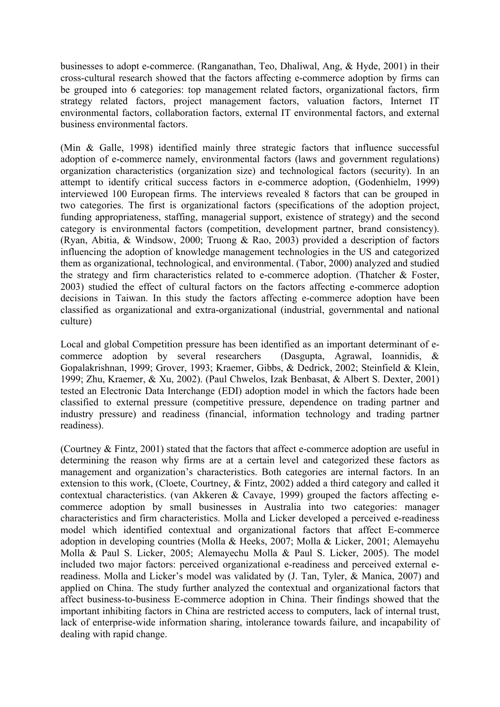businesses to adopt e-commerce. (Ranganathan, Teo, Dhaliwal, Ang, & Hyde, 2001) in their cross-cultural research showed that the factors affecting e-commerce adoption by firms can be grouped into 6 categories: top management related factors, organizational factors, firm strategy related factors, project management factors, valuation factors, Internet IT environmental factors, collaboration factors, external IT environmental factors, and external business environmental factors.

(Min & Galle, 1998) identified mainly three strategic factors that influence successful adoption of e-commerce namely, environmental factors (laws and government regulations) organization characteristics (organization size) and technological factors (security). In an attempt to identify critical success factors in e-commerce adoption, (Godenhielm, 1999) interviewed 100 European firms. The interviews revealed 8 factors that can be grouped in two categories. The first is organizational factors (specifications of the adoption project, funding appropriateness, staffing, managerial support, existence of strategy) and the second category is environmental factors (competition, development partner, brand consistency). (Ryan, Abitia, & Windsow, 2000; Truong & Rao, 2003) provided a description of factors influencing the adoption of knowledge management technologies in the US and categorized them as organizational, technological, and environmental. (Tabor, 2000) analyzed and studied the strategy and firm characteristics related to e-commerce adoption. (Thatcher & Foster, 2003) studied the effect of cultural factors on the factors affecting e-commerce adoption decisions in Taiwan. In this study the factors affecting e-commerce adoption have been classified as organizational and extra-organizational (industrial, governmental and national culture)

Local and global Competition pressure has been identified as an important determinant of ecommerce adoption by several researchers (Dasgupta, Agrawal, Ioannidis, & Gopalakrishnan, 1999; Grover, 1993; Kraemer, Gibbs, & Dedrick, 2002; Steinfield & Klein, 1999; Zhu, Kraemer, & Xu, 2002). (Paul Chwelos, Izak Benbasat, & Albert S. Dexter, 2001) tested an Electronic Data Interchange (EDI) adoption model in which the factors hade been classified to external pressure (competitive pressure, dependence on trading partner and industry pressure) and readiness (financial, information technology and trading partner readiness).

(Courtney & Fintz, 2001) stated that the factors that affect e-commerce adoption are useful in determining the reason why firms are at a certain level and categorized these factors as management and organization's characteristics. Both categories are internal factors. In an extension to this work, (Cloete, Courtney, & Fintz, 2002) added a third category and called it contextual characteristics. (van Akkeren & Cavaye, 1999) grouped the factors affecting ecommerce adoption by small businesses in Australia into two categories: manager characteristics and firm characteristics. Molla and Licker developed a perceived e-readiness model which identified contextual and organizational factors that affect E-commerce adoption in developing countries (Molla & Heeks, 2007; Molla & Licker, 2001; Alemayehu Molla & Paul S. Licker, 2005; Alemayechu Molla & Paul S. Licker, 2005). The model included two major factors: perceived organizational e-readiness and perceived external ereadiness. Molla and Licker's model was validated by (J. Tan, Tyler, & Manica, 2007) and applied on China. The study further analyzed the contextual and organizational factors that affect business-to-business E-commerce adoption in China. Their findings showed that the important inhibiting factors in China are restricted access to computers, lack of internal trust, lack of enterprise-wide information sharing, intolerance towards failure, and incapability of dealing with rapid change.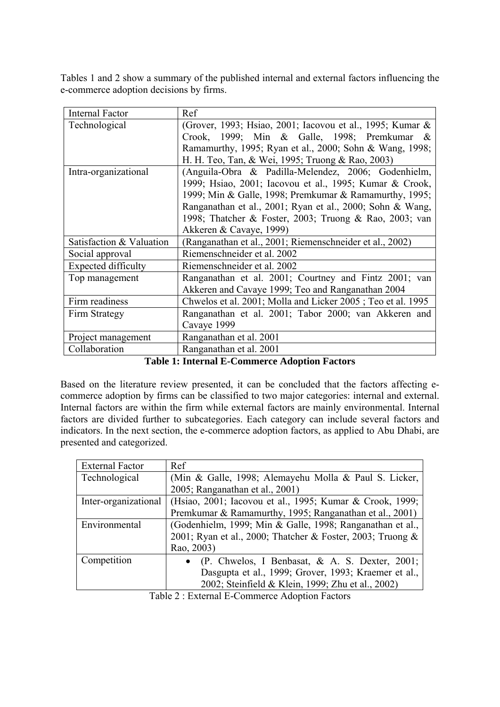Tables 1 and 2 show a summary of the published internal and external factors influencing the e-commerce adoption decisions by firms.

| <b>Internal Factor</b>     | Ref                                                         |  |  |
|----------------------------|-------------------------------------------------------------|--|--|
| Technological              | (Grover, 1993; Hsiao, 2001; Iacovou et al., 1995; Kumar &   |  |  |
|                            | Crook, 1999; Min & Galle, 1998; Premkumar &                 |  |  |
|                            | Ramamurthy, 1995; Ryan et al., 2000; Sohn & Wang, 1998;     |  |  |
|                            | H. H. Teo, Tan, & Wei, 1995; Truong & Rao, 2003)            |  |  |
| Intra-organizational       | (Anguila-Obra & Padilla-Melendez, 2006; Godenhielm,         |  |  |
|                            | 1999; Hsiao, 2001; Iacovou et al., 1995; Kumar & Crook,     |  |  |
|                            | 1999; Min & Galle, 1998; Premkumar & Ramamurthy, 1995;      |  |  |
|                            | Ranganathan et al., 2001; Ryan et al., 2000; Sohn & Wang,   |  |  |
|                            | 1998; Thatcher & Foster, 2003; Truong & Rao, 2003; van      |  |  |
|                            | Akkeren & Cavaye, 1999)                                     |  |  |
| Satisfaction & Valuation   | (Ranganathan et al., 2001; Riemenschneider et al., 2002)    |  |  |
| Social approval            | Riemenschneider et al. 2002                                 |  |  |
| <b>Expected difficulty</b> | Riemenschneider et al. 2002                                 |  |  |
| Top management             | Ranganathan et al. 2001; Courtney and Fintz 2001; van       |  |  |
|                            | Akkeren and Cavaye 1999; Teo and Ranganathan 2004           |  |  |
| Firm readiness             | Chwelos et al. 2001; Molla and Licker 2005; Teo et al. 1995 |  |  |
| Firm Strategy              | Ranganathan et al. 2001; Tabor 2000; van Akkeren and        |  |  |
|                            | Cavaye 1999                                                 |  |  |
| Project management         | Ranganathan et al. 2001                                     |  |  |
| Collaboration              | Ranganathan et al. 2001                                     |  |  |

**Table 1: Internal E-Commerce Adoption Factors** 

Based on the literature review presented, it can be concluded that the factors affecting ecommerce adoption by firms can be classified to two major categories: internal and external. Internal factors are within the firm while external factors are mainly environmental. Internal factors are divided further to subcategories. Each category can include several factors and indicators. In the next section, the e-commerce adoption factors, as applied to Abu Dhabi, are presented and categorized.

| Ref                                                                              |  |  |
|----------------------------------------------------------------------------------|--|--|
| (Min & Galle, 1998; Alemayehu Molla & Paul S. Licker,                            |  |  |
| 2005; Ranganathan et al., 2001)                                                  |  |  |
| Inter-organizational<br>(Hsiao, 2001; Iacovou et al., 1995; Kumar & Crook, 1999; |  |  |
| Premkumar & Ramamurthy, 1995; Ranganathan et al., 2001)                          |  |  |
| (Godenhielm, 1999; Min & Galle, 1998; Ranganathan et al.,                        |  |  |
| 2001; Ryan et al., 2000; Thatcher & Foster, 2003; Truong &                       |  |  |
| Rao, 2003)                                                                       |  |  |
| (P. Chwelos, I Benbasat, & A. S. Dexter, 2001;                                   |  |  |
| Dasgupta et al., 1999; Grover, 1993; Kraemer et al.,                             |  |  |
| 2002; Steinfield & Klein, 1999; Zhu et al., 2002)                                |  |  |
|                                                                                  |  |  |

Table 2 : External E-Commerce Adoption Factors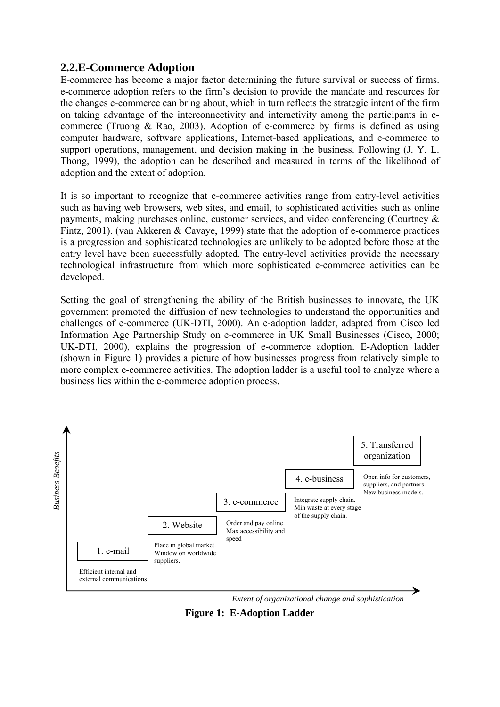#### **2.2.E-Commerce Adoption**

E-commerce has become a major factor determining the future survival or success of firms. e-commerce adoption refers to the firm's decision to provide the mandate and resources for the changes e-commerce can bring about, which in turn reflects the strategic intent of the firm on taking advantage of the interconnectivity and interactivity among the participants in ecommerce (Truong & Rao, 2003). Adoption of e-commerce by firms is defined as using computer hardware, software applications, Internet-based applications, and e-commerce to support operations, management, and decision making in the business. Following (J. Y. L. Thong, 1999), the adoption can be described and measured in terms of the likelihood of adoption and the extent of adoption.

It is so important to recognize that e-commerce activities range from entry-level activities such as having web browsers, web sites, and email, to sophisticated activities such as online payments, making purchases online, customer services, and video conferencing (Courtney & Fintz, 2001). (van Akkeren & Cavaye, 1999) state that the adoption of e-commerce practices is a progression and sophisticated technologies are unlikely to be adopted before those at the entry level have been successfully adopted. The entry-level activities provide the necessary technological infrastructure from which more sophisticated e-commerce activities can be developed.

Setting the goal of strengthening the ability of the British businesses to innovate, the UK government promoted the diffusion of new technologies to understand the opportunities and challenges of e-commerce (UK-DTI, 2000). An e-adoption ladder, adapted from Cisco led Information Age Partnership Study on e-commerce in UK Small Businesses (Cisco, 2000; UK-DTI, 2000), explains the progression of e-commerce adoption. E-Adoption ladder (shown in Figure 1) provides a picture of how businesses progress from relatively simple to more complex e-commerce activities. The adoption ladder is a useful tool to analyze where a business lies within the e-commerce adoption process.



*Extent of organizational change and sophistication* 

**Figure 1: E-Adoption Ladder**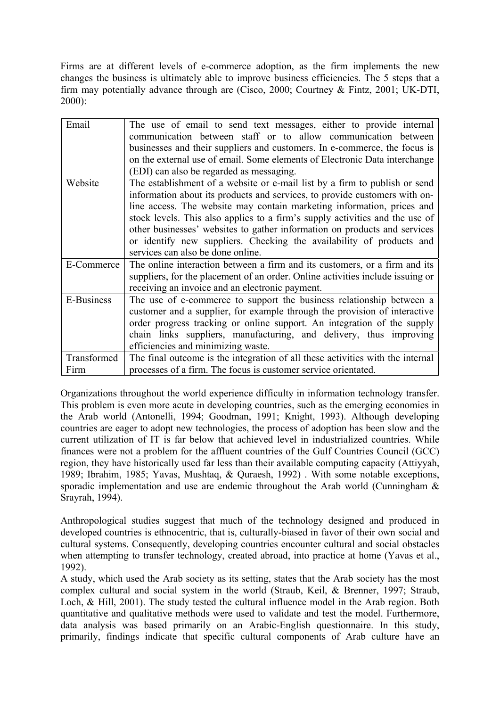Firms are at different levels of e-commerce adoption, as the firm implements the new changes the business is ultimately able to improve business efficiencies. The 5 steps that a firm may potentially advance through are (Cisco, 2000; Courtney & Fintz, 2001; UK-DTI, 2000):

| Email             | The use of email to send text messages, either to provide internal             |  |  |
|-------------------|--------------------------------------------------------------------------------|--|--|
|                   | communication between staff or to allow communication between                  |  |  |
|                   | businesses and their suppliers and customers. In e-commerce, the focus is      |  |  |
|                   | on the external use of email. Some elements of Electronic Data interchange     |  |  |
|                   | (EDI) can also be regarded as messaging.                                       |  |  |
| Website           | The establishment of a website or e-mail list by a firm to publish or send     |  |  |
|                   | information about its products and services, to provide customers with on-     |  |  |
|                   | line access. The website may contain marketing information, prices and         |  |  |
|                   | stock levels. This also applies to a firm's supply activities and the use of   |  |  |
|                   | other businesses' websites to gather information on products and services      |  |  |
|                   | or identify new suppliers. Checking the availability of products and           |  |  |
|                   | services can also be done online.                                              |  |  |
| E-Commerce        | The online interaction between a firm and its customers, or a firm and its     |  |  |
|                   | suppliers, for the placement of an order. Online activities include issuing or |  |  |
|                   | receiving an invoice and an electronic payment.                                |  |  |
| <b>E-Business</b> | The use of e-commerce to support the business relationship between a           |  |  |
|                   | customer and a supplier, for example through the provision of interactive      |  |  |
|                   | order progress tracking or online support. An integration of the supply        |  |  |
|                   | chain links suppliers, manufacturing, and delivery, thus improving             |  |  |
|                   | efficiencies and minimizing waste.                                             |  |  |
| Transformed       | The final outcome is the integration of all these activities with the internal |  |  |
| Firm              | processes of a firm. The focus is customer service orientated.                 |  |  |

Organizations throughout the world experience difficulty in information technology transfer. This problem is even more acute in developing countries, such as the emerging economies in the Arab world (Antonelli, 1994; Goodman, 1991; Knight, 1993). Although developing countries are eager to adopt new technologies, the process of adoption has been slow and the current utilization of IT is far below that achieved level in industrialized countries. While finances were not a problem for the affluent countries of the Gulf Countries Council (GCC) region, they have historically used far less than their available computing capacity (Attiyyah, 1989; Ibrahim, 1985; Yavas, Mushtaq, & Quraesh, 1992) . With some notable exceptions, sporadic implementation and use are endemic throughout the Arab world (Cunningham & Srayrah, 1994).

Anthropological studies suggest that much of the technology designed and produced in developed countries is ethnocentric, that is, culturally-biased in favor of their own social and cultural systems. Consequently, developing countries encounter cultural and social obstacles when attempting to transfer technology, created abroad, into practice at home (Yavas et al., 1992).

A study, which used the Arab society as its setting, states that the Arab society has the most complex cultural and social system in the world (Straub, Keil, & Brenner, 1997; Straub, Loch, & Hill, 2001). The study tested the cultural influence model in the Arab region. Both quantitative and qualitative methods were used to validate and test the model. Furthermore, data analysis was based primarily on an Arabic-English questionnaire. In this study, primarily, findings indicate that specific cultural components of Arab culture have an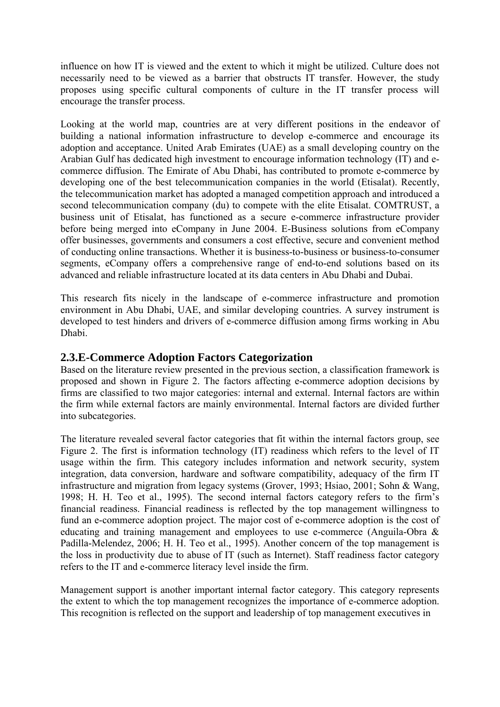influence on how IT is viewed and the extent to which it might be utilized. Culture does not necessarily need to be viewed as a barrier that obstructs IT transfer. However, the study proposes using specific cultural components of culture in the IT transfer process will encourage the transfer process.

Looking at the world map, countries are at very different positions in the endeavor of building a national information infrastructure to develop e-commerce and encourage its adoption and acceptance. United Arab Emirates (UAE) as a small developing country on the Arabian Gulf has dedicated high investment to encourage information technology (IT) and ecommerce diffusion. The Emirate of Abu Dhabi, has contributed to promote e-commerce by developing one of the best telecommunication companies in the world (Etisalat). Recently, the telecommunication market has adopted a managed competition approach and introduced a second telecommunication company (du) to compete with the elite Etisalat. COMTRUST, a business unit of Etisalat, has functioned as a secure e-commerce infrastructure provider before being merged into eCompany in June 2004. E-Business solutions from eCompany offer businesses, governments and consumers a cost effective, secure and convenient method of conducting online transactions. Whether it is business-to-business or business-to-consumer segments, eCompany offers a comprehensive range of end-to-end solutions based on its advanced and reliable infrastructure located at its data centers in Abu Dhabi and Dubai.

This research fits nicely in the landscape of e-commerce infrastructure and promotion environment in Abu Dhabi, UAE, and similar developing countries. A survey instrument is developed to test hinders and drivers of e-commerce diffusion among firms working in Abu Dhabi.

#### **2.3.E-Commerce Adoption Factors Categorization**

Based on the literature review presented in the previous section, a classification framework is proposed and shown in Figure 2. The factors affecting e-commerce adoption decisions by firms are classified to two major categories: internal and external. Internal factors are within the firm while external factors are mainly environmental. Internal factors are divided further into subcategories.

The literature revealed several factor categories that fit within the internal factors group, see Figure 2. The first is information technology (IT) readiness which refers to the level of IT usage within the firm. This category includes information and network security, system integration, data conversion, hardware and software compatibility, adequacy of the firm IT infrastructure and migration from legacy systems (Grover, 1993; Hsiao, 2001; Sohn & Wang, 1998; H. H. Teo et al., 1995). The second internal factors category refers to the firm's financial readiness. Financial readiness is reflected by the top management willingness to fund an e-commerce adoption project. The major cost of e-commerce adoption is the cost of educating and training management and employees to use e-commerce (Anguila-Obra & Padilla-Melendez, 2006; H. H. Teo et al., 1995). Another concern of the top management is the loss in productivity due to abuse of IT (such as Internet). Staff readiness factor category refers to the IT and e-commerce literacy level inside the firm.

Management support is another important internal factor category. This category represents the extent to which the top management recognizes the importance of e-commerce adoption. This recognition is reflected on the support and leadership of top management executives in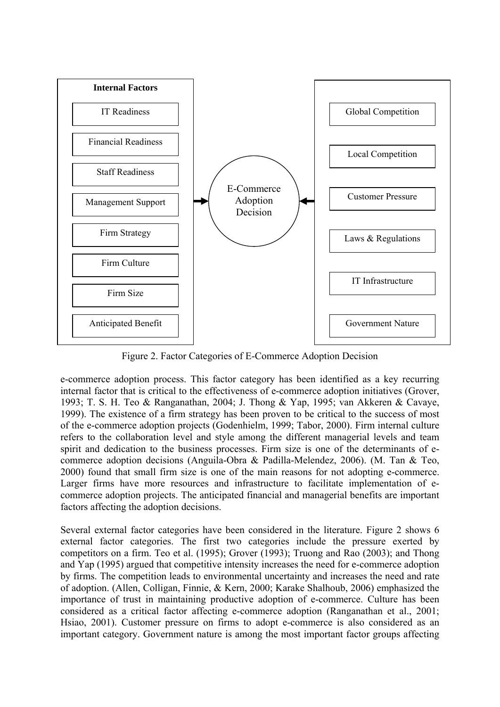

Figure 2. Factor Categories of E-Commerce Adoption Decision

e-commerce adoption process. This factor category has been identified as a key recurring internal factor that is critical to the effectiveness of e-commerce adoption initiatives (Grover, 1993; T. S. H. Teo & Ranganathan, 2004; J. Thong & Yap, 1995; van Akkeren & Cavaye, 1999). The existence of a firm strategy has been proven to be critical to the success of most of the e-commerce adoption projects (Godenhielm, 1999; Tabor, 2000). Firm internal culture refers to the collaboration level and style among the different managerial levels and team spirit and dedication to the business processes. Firm size is one of the determinants of ecommerce adoption decisions (Anguila-Obra & Padilla-Melendez, 2006). (M. Tan & Teo, 2000) found that small firm size is one of the main reasons for not adopting e-commerce. Larger firms have more resources and infrastructure to facilitate implementation of ecommerce adoption projects. The anticipated financial and managerial benefits are important factors affecting the adoption decisions.

Several external factor categories have been considered in the literature. Figure 2 shows 6 external factor categories. The first two categories include the pressure exerted by competitors on a firm. Teo et al. (1995); Grover (1993); Truong and Rao (2003); and Thong and Yap (1995) argued that competitive intensity increases the need for e-commerce adoption by firms. The competition leads to environmental uncertainty and increases the need and rate of adoption. (Allen, Colligan, Finnie, & Kern, 2000; Karake Shalhoub, 2006) emphasized the importance of trust in maintaining productive adoption of e-commerce. Culture has been considered as a critical factor affecting e-commerce adoption (Ranganathan et al., 2001; Hsiao, 2001). Customer pressure on firms to adopt e-commerce is also considered as an important category. Government nature is among the most important factor groups affecting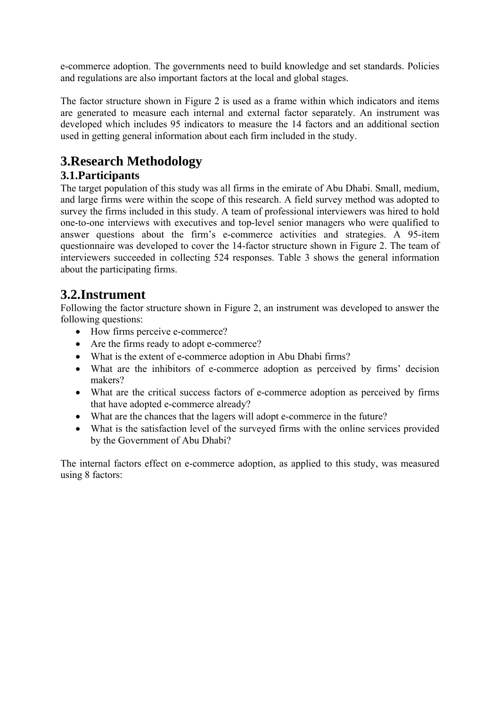e-commerce adoption. The governments need to build knowledge and set standards. Policies and regulations are also important factors at the local and global stages.

The factor structure shown in Figure 2 is used as a frame within which indicators and items are generated to measure each internal and external factor separately. An instrument was developed which includes 95 indicators to measure the 14 factors and an additional section used in getting general information about each firm included in the study.

# **3.Research Methodology**

#### **3.1.Participants**

The target population of this study was all firms in the emirate of Abu Dhabi. Small, medium, and large firms were within the scope of this research. A field survey method was adopted to survey the firms included in this study. A team of professional interviewers was hired to hold one-to-one interviews with executives and top-level senior managers who were qualified to answer questions about the firm's e-commerce activities and strategies. A 95-item questionnaire was developed to cover the 14-factor structure shown in Figure 2. The team of interviewers succeeded in collecting 524 responses. Table 3 shows the general information about the participating firms.

# **3.2.Instrument**

Following the factor structure shown in Figure 2, an instrument was developed to answer the following questions:

- How firms perceive e-commerce?
- Are the firms ready to adopt e-commerce?
- What is the extent of e-commerce adoption in Abu Dhabi firms?
- What are the inhibitors of e-commerce adoption as perceived by firms' decision makers?
- What are the critical success factors of e-commerce adoption as perceived by firms that have adopted e-commerce already?
- What are the chances that the lagers will adopt e-commerce in the future?
- What is the satisfaction level of the surveyed firms with the online services provided by the Government of Abu Dhabi?

The internal factors effect on e-commerce adoption, as applied to this study, was measured using 8 factors: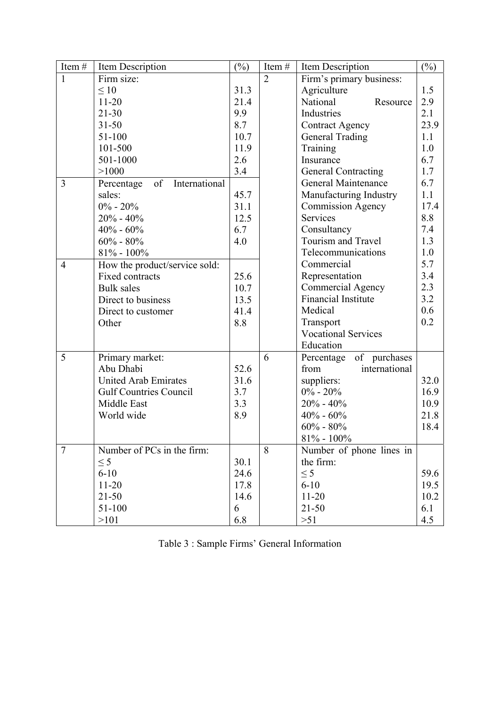| Item#          | Item Description                  | $(\%)$ | Item#          | Item Description           | $(\%)$ |
|----------------|-----------------------------------|--------|----------------|----------------------------|--------|
| $\mathbf{1}$   | Firm size:                        |        | $\overline{2}$ | Firm's primary business:   |        |
|                | $\leq 10$                         | 31.3   |                | Agriculture                | 1.5    |
|                | $11 - 20$                         | 21.4   |                | National<br>Resource       | 2.9    |
|                | $21 - 30$                         | 9.9    |                | Industries                 | 2.1    |
|                | $31 - 50$                         | 8.7    |                | <b>Contract Agency</b>     | 23.9   |
|                | 51-100                            | 10.7   |                | General Trading            | 1.1    |
|                | 101-500                           | 11.9   |                | Training                   | 1.0    |
|                | 501-1000                          | 2.6    |                | Insurance                  | 6.7    |
|                | >1000                             | 3.4    |                | <b>General Contracting</b> | 1.7    |
| $\overline{3}$ | International<br>of<br>Percentage |        |                | General Maintenance        | 6.7    |
|                | sales:                            | 45.7   |                | Manufacturing Industry     | 1.1    |
|                | $0\% - 20\%$                      | 31.1   |                | <b>Commission Agency</b>   | 17.4   |
|                | $20\% - 40\%$                     | 12.5   |                | Services                   | 8.8    |
|                | $40\% - 60\%$                     | 6.7    |                | Consultancy                | 7.4    |
|                | $60\% - 80\%$                     | 4.0    |                | Tourism and Travel         | 1.3    |
|                | $81\% - 100\%$                    |        |                | Telecommunications         | 1.0    |
| $\overline{4}$ | How the product/service sold:     |        |                | Commercial                 | 5.7    |
|                | Fixed contracts                   | 25.6   |                | Representation             | 3.4    |
|                | <b>Bulk</b> sales                 | 10.7   |                | <b>Commercial Agency</b>   | 2.3    |
|                | Direct to business                | 13.5   |                | <b>Financial Institute</b> | 3.2    |
|                | Direct to customer                | 41.4   |                | Medical                    | 0.6    |
|                | Other                             | 8.8    |                | Transport                  | 0.2    |
|                |                                   |        |                | <b>Vocational Services</b> |        |
|                |                                   |        |                | Education                  |        |
| 5              | Primary market:                   |        | 6              | of purchases<br>Percentage |        |
|                | Abu Dhabi                         | 52.6   |                | international<br>from      |        |
|                | <b>United Arab Emirates</b>       | 31.6   |                | suppliers:                 | 32.0   |
|                | <b>Gulf Countries Council</b>     | 3.7    |                | $0\% - 20\%$               | 16.9   |
|                | Middle East                       | 3.3    |                | $20% - 40%$                | 10.9   |
|                | World wide                        | 8.9    |                | $40% - 60%$                | 21.8   |
|                |                                   |        |                | $60\% - 80\%$              | 18.4   |
|                |                                   |        |                | $81\%$ - $100\%$           |        |
| $\overline{7}$ | Number of PCs in the firm:        |        | 8              | Number of phone lines in   |        |
|                | $\leq$ 5                          | 30.1   |                | the firm:                  |        |
|                | $6 - 10$                          | 24.6   |                | $\leq$ 5                   | 59.6   |
|                | $11 - 20$                         | 17.8   |                | $6 - 10$                   | 19.5   |
|                | $21 - 50$                         | 14.6   |                | $11 - 20$                  | 10.2   |
|                | 51-100                            | 6      |                | $21 - 50$                  | 6.1    |
|                | >101                              | 6.8    |                | >51                        | 4.5    |

|  |  | Table 3 : Sample Firms' General Information |
|--|--|---------------------------------------------|
|  |  |                                             |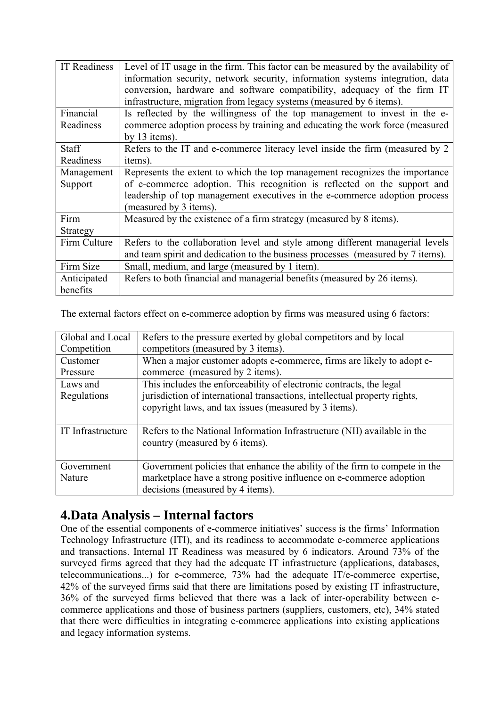| <b>IT Readiness</b> | Level of IT usage in the firm. This factor can be measured by the availability of<br>information security, network security, information systems integration, data<br>conversion, hardware and software compatibility, adequacy of the firm IT<br>infrastructure, migration from legacy systems (measured by 6 items). |
|---------------------|------------------------------------------------------------------------------------------------------------------------------------------------------------------------------------------------------------------------------------------------------------------------------------------------------------------------|
| Financial           | Is reflected by the willingness of the top management to invest in the e-                                                                                                                                                                                                                                              |
| Readiness           | commerce adoption process by training and educating the work force (measured                                                                                                                                                                                                                                           |
|                     | by $13$ items).                                                                                                                                                                                                                                                                                                        |
| <b>Staff</b>        | Refers to the IT and e-commerce literacy level inside the firm (measured by 2                                                                                                                                                                                                                                          |
| Readiness           | items).                                                                                                                                                                                                                                                                                                                |
| Management          | Represents the extent to which the top management recognizes the importance                                                                                                                                                                                                                                            |
| Support             | of e-commerce adoption. This recognition is reflected on the support and                                                                                                                                                                                                                                               |
|                     | leadership of top management executives in the e-commerce adoption process<br>(measured by 3 items).                                                                                                                                                                                                                   |
| Firm                | Measured by the existence of a firm strategy (measured by 8 items).                                                                                                                                                                                                                                                    |
| Strategy            |                                                                                                                                                                                                                                                                                                                        |
| Firm Culture        | Refers to the collaboration level and style among different managerial levels                                                                                                                                                                                                                                          |
|                     | and team spirit and dedication to the business processes (measured by 7 items).                                                                                                                                                                                                                                        |
| Firm Size           | Small, medium, and large (measured by 1 item).                                                                                                                                                                                                                                                                         |
| Anticipated         | Refers to both financial and managerial benefits (measured by 26 items).                                                                                                                                                                                                                                               |
| benefits            |                                                                                                                                                                                                                                                                                                                        |

The external factors effect on e-commerce adoption by firms was measured using 6 factors:

| Global and Local  | Refers to the pressure exerted by global competitors and by local          |
|-------------------|----------------------------------------------------------------------------|
| Competition       | competitors (measured by 3 items).                                         |
| Customer          | When a major customer adopts e-commerce, firms are likely to adopt e-      |
| Pressure          | commerce (measured by 2 items).                                            |
| Laws and          | This includes the enforceability of electronic contracts, the legal        |
| Regulations       | jurisdiction of international transactions, intellectual property rights,  |
|                   | copyright laws, and tax issues (measured by 3 items).                      |
|                   |                                                                            |
| IT Infrastructure | Refers to the National Information Infrastructure (NII) available in the   |
|                   | country (measured by 6 items).                                             |
|                   |                                                                            |
| Government        | Government policies that enhance the ability of the firm to compete in the |
| Nature            | marketplace have a strong positive influence on e-commerce adoption        |
|                   | decisions (measured by 4 items).                                           |

# **4.Data Analysis – Internal factors**

One of the essential components of e-commerce initiatives' success is the firms' Information Technology Infrastructure (ITI), and its readiness to accommodate e-commerce applications and transactions. Internal IT Readiness was measured by 6 indicators. Around 73% of the surveyed firms agreed that they had the adequate IT infrastructure (applications, databases, telecommunications...) for e-commerce, 73% had the adequate IT/e-commerce expertise, 42% of the surveyed firms said that there are limitations posed by existing IT infrastructure, 36% of the surveyed firms believed that there was a lack of inter-operability between ecommerce applications and those of business partners (suppliers, customers, etc), 34% stated that there were difficulties in integrating e-commerce applications into existing applications and legacy information systems.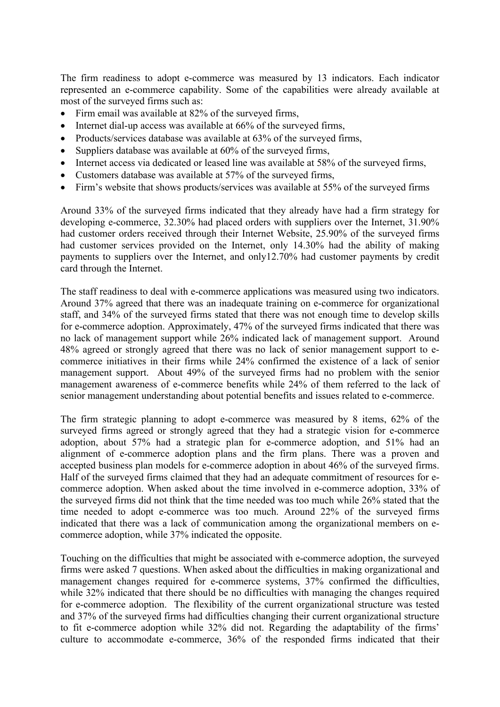The firm readiness to adopt e-commerce was measured by 13 indicators. Each indicator represented an e-commerce capability. Some of the capabilities were already available at most of the surveyed firms such as:

- Firm email was available at 82% of the surveyed firms,
- Internet dial-up access was available at 66% of the surveyed firms,
- Products/services database was available at 63% of the surveyed firms,
- Suppliers database was available at 60% of the surveyed firms,
- Internet access via dedicated or leased line was available at 58% of the surveyed firms,
- Customers database was available at 57% of the surveyed firms,
- Firm's website that shows products/services was available at 55% of the surveyed firms

Around 33% of the surveyed firms indicated that they already have had a firm strategy for developing e-commerce, 32.30% had placed orders with suppliers over the Internet, 31.90% had customer orders received through their Internet Website, 25.90% of the surveyed firms had customer services provided on the Internet, only 14.30% had the ability of making payments to suppliers over the Internet, and only12.70% had customer payments by credit card through the Internet.

The staff readiness to deal with e-commerce applications was measured using two indicators. Around 37% agreed that there was an inadequate training on e-commerce for organizational staff, and 34% of the surveyed firms stated that there was not enough time to develop skills for e-commerce adoption. Approximately, 47% of the surveyed firms indicated that there was no lack of management support while 26% indicated lack of management support. Around 48% agreed or strongly agreed that there was no lack of senior management support to ecommerce initiatives in their firms while 24% confirmed the existence of a lack of senior management support. About 49% of the surveyed firms had no problem with the senior management awareness of e-commerce benefits while 24% of them referred to the lack of senior management understanding about potential benefits and issues related to e-commerce.

The firm strategic planning to adopt e-commerce was measured by 8 items, 62% of the surveyed firms agreed or strongly agreed that they had a strategic vision for e-commerce adoption, about 57% had a strategic plan for e-commerce adoption, and 51% had an alignment of e-commerce adoption plans and the firm plans. There was a proven and accepted business plan models for e-commerce adoption in about 46% of the surveyed firms. Half of the surveyed firms claimed that they had an adequate commitment of resources for ecommerce adoption. When asked about the time involved in e-commerce adoption, 33% of the surveyed firms did not think that the time needed was too much while 26% stated that the time needed to adopt e-commerce was too much. Around 22% of the surveyed firms indicated that there was a lack of communication among the organizational members on ecommerce adoption, while 37% indicated the opposite.

Touching on the difficulties that might be associated with e-commerce adoption, the surveyed firms were asked 7 questions. When asked about the difficulties in making organizational and management changes required for e-commerce systems, 37% confirmed the difficulties, while 32% indicated that there should be no difficulties with managing the changes required for e-commerce adoption. The flexibility of the current organizational structure was tested and 37% of the surveyed firms had difficulties changing their current organizational structure to fit e-commerce adoption while 32% did not. Regarding the adaptability of the firms' culture to accommodate e-commerce, 36% of the responded firms indicated that their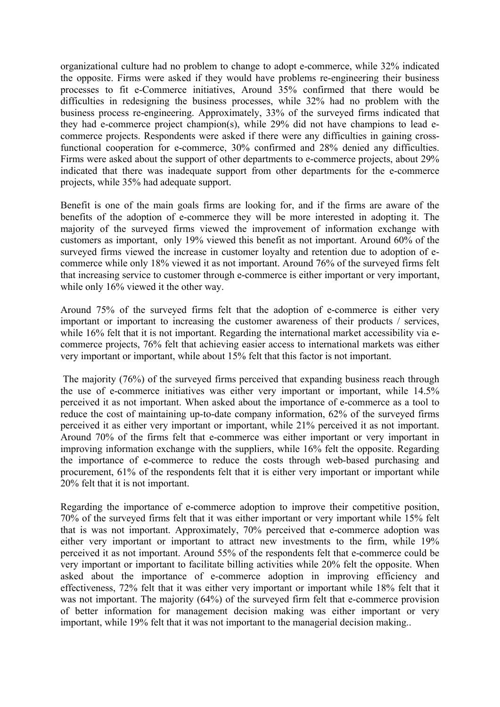organizational culture had no problem to change to adopt e-commerce, while 32% indicated the opposite. Firms were asked if they would have problems re-engineering their business processes to fit e-Commerce initiatives, Around 35% confirmed that there would be difficulties in redesigning the business processes, while 32% had no problem with the business process re-engineering. Approximately, 33% of the surveyed firms indicated that they had e-commerce project champion(s), while 29% did not have champions to lead ecommerce projects. Respondents were asked if there were any difficulties in gaining crossfunctional cooperation for e-commerce, 30% confirmed and 28% denied any difficulties. Firms were asked about the support of other departments to e-commerce projects, about 29% indicated that there was inadequate support from other departments for the e-commerce projects, while 35% had adequate support.

Benefit is one of the main goals firms are looking for, and if the firms are aware of the benefits of the adoption of e-commerce they will be more interested in adopting it. The majority of the surveyed firms viewed the improvement of information exchange with customers as important, only 19% viewed this benefit as not important. Around 60% of the surveyed firms viewed the increase in customer loyalty and retention due to adoption of ecommerce while only 18% viewed it as not important. Around 76% of the surveyed firms felt that increasing service to customer through e-commerce is either important or very important, while only 16% viewed it the other way.

Around 75% of the surveyed firms felt that the adoption of e-commerce is either very important or important to increasing the customer awareness of their products / services, while 16% felt that it is not important. Regarding the international market accessibility via ecommerce projects, 76% felt that achieving easier access to international markets was either very important or important, while about 15% felt that this factor is not important.

 The majority (76%) of the surveyed firms perceived that expanding business reach through the use of e-commerce initiatives was either very important or important, while 14.5% perceived it as not important. When asked about the importance of e-commerce as a tool to reduce the cost of maintaining up-to-date company information, 62% of the surveyed firms perceived it as either very important or important, while 21% perceived it as not important. Around 70% of the firms felt that e-commerce was either important or very important in improving information exchange with the suppliers, while 16% felt the opposite. Regarding the importance of e-commerce to reduce the costs through web-based purchasing and procurement, 61% of the respondents felt that it is either very important or important while 20% felt that it is not important.

Regarding the importance of e-commerce adoption to improve their competitive position, 70% of the surveyed firms felt that it was either important or very important while 15% felt that is was not important. Approximately, 70% perceived that e-commerce adoption was either very important or important to attract new investments to the firm, while 19% perceived it as not important. Around 55% of the respondents felt that e-commerce could be very important or important to facilitate billing activities while 20% felt the opposite. When asked about the importance of e-commerce adoption in improving efficiency and effectiveness, 72% felt that it was either very important or important while 18% felt that it was not important. The majority (64%) of the surveyed firm felt that e-commerce provision of better information for management decision making was either important or very important, while 19% felt that it was not important to the managerial decision making..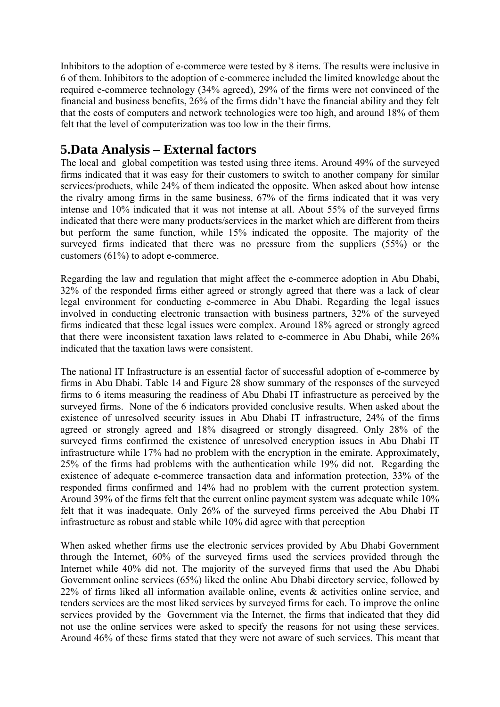Inhibitors to the adoption of e-commerce were tested by 8 items. The results were inclusive in 6 of them. Inhibitors to the adoption of e-commerce included the limited knowledge about the required e-commerce technology (34% agreed), 29% of the firms were not convinced of the financial and business benefits, 26% of the firms didn't have the financial ability and they felt that the costs of computers and network technologies were too high, and around 18% of them felt that the level of computerization was too low in the their firms.

### **5.Data Analysis – External factors**

The local and global competition was tested using three items. Around 49% of the surveyed firms indicated that it was easy for their customers to switch to another company for similar services/products, while 24% of them indicated the opposite. When asked about how intense the rivalry among firms in the same business, 67% of the firms indicated that it was very intense and 10% indicated that it was not intense at all. About 55% of the surveyed firms indicated that there were many products/services in the market which are different from theirs but perform the same function, while 15% indicated the opposite. The majority of the surveyed firms indicated that there was no pressure from the suppliers (55%) or the customers (61%) to adopt e-commerce.

Regarding the law and regulation that might affect the e-commerce adoption in Abu Dhabi, 32% of the responded firms either agreed or strongly agreed that there was a lack of clear legal environment for conducting e-commerce in Abu Dhabi. Regarding the legal issues involved in conducting electronic transaction with business partners, 32% of the surveyed firms indicated that these legal issues were complex. Around 18% agreed or strongly agreed that there were inconsistent taxation laws related to e-commerce in Abu Dhabi, while 26% indicated that the taxation laws were consistent.

The national IT Infrastructure is an essential factor of successful adoption of e-commerce by firms in Abu Dhabi. Table 14 and Figure 28 show summary of the responses of the surveyed firms to 6 items measuring the readiness of Abu Dhabi IT infrastructure as perceived by the surveyed firms. None of the 6 indicators provided conclusive results. When asked about the existence of unresolved security issues in Abu Dhabi IT infrastructure, 24% of the firms agreed or strongly agreed and 18% disagreed or strongly disagreed. Only 28% of the surveyed firms confirmed the existence of unresolved encryption issues in Abu Dhabi IT infrastructure while 17% had no problem with the encryption in the emirate. Approximately, 25% of the firms had problems with the authentication while 19% did not. Regarding the existence of adequate e-commerce transaction data and information protection, 33% of the responded firms confirmed and 14% had no problem with the current protection system. Around 39% of the firms felt that the current online payment system was adequate while 10% felt that it was inadequate. Only 26% of the surveyed firms perceived the Abu Dhabi IT infrastructure as robust and stable while 10% did agree with that perception

When asked whether firms use the electronic services provided by Abu Dhabi Government through the Internet, 60% of the surveyed firms used the services provided through the Internet while 40% did not. The majority of the surveyed firms that used the Abu Dhabi Government online services (65%) liked the online Abu Dhabi directory service, followed by 22% of firms liked all information available online, events & activities online service, and tenders services are the most liked services by surveyed firms for each. To improve the online services provided by the Government via the Internet, the firms that indicated that they did not use the online services were asked to specify the reasons for not using these services. Around 46% of these firms stated that they were not aware of such services. This meant that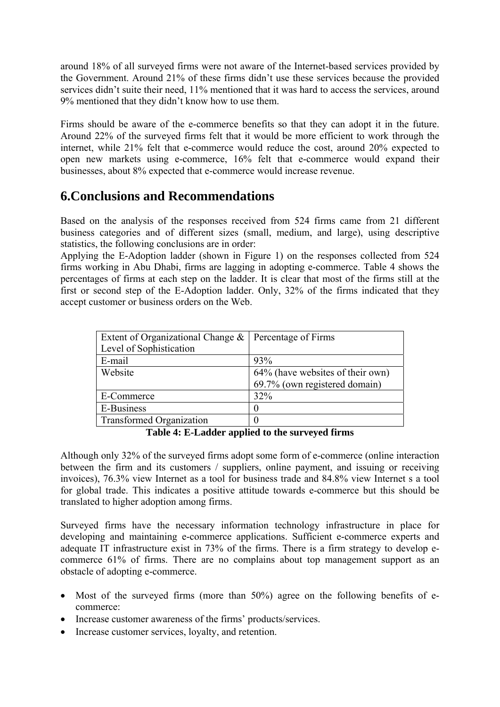around 18% of all surveyed firms were not aware of the Internet-based services provided by the Government. Around 21% of these firms didn't use these services because the provided services didn't suite their need, 11% mentioned that it was hard to access the services, around 9% mentioned that they didn't know how to use them.

Firms should be aware of the e-commerce benefits so that they can adopt it in the future. Around 22% of the surveyed firms felt that it would be more efficient to work through the internet, while 21% felt that e-commerce would reduce the cost, around 20% expected to open new markets using e-commerce, 16% felt that e-commerce would expand their businesses, about 8% expected that e-commerce would increase revenue.

### **6.Conclusions and Recommendations**

Based on the analysis of the responses received from 524 firms came from 21 different business categories and of different sizes (small, medium, and large), using descriptive statistics, the following conclusions are in order:

Applying the E-Adoption ladder (shown in Figure 1) on the responses collected from 524 firms working in Abu Dhabi, firms are lagging in adopting e-commerce. Table 4 shows the percentages of firms at each step on the ladder. It is clear that most of the firms still at the first or second step of the E-Adoption ladder. Only, 32% of the firms indicated that they accept customer or business orders on the Web.

| Extent of Organizational Change $\&$<br>Level of Sophistication | Percentage of Firms              |
|-----------------------------------------------------------------|----------------------------------|
| E-mail                                                          | 93%                              |
| Website                                                         | 64% (have websites of their own) |
|                                                                 | 69.7% (own registered domain)    |
| E-Commerce                                                      | 32%                              |
| E-Business                                                      |                                  |
| <b>Transformed Organization</b>                                 |                                  |

**Table 4: E-Ladder applied to the surveyed firms** 

Although only 32% of the surveyed firms adopt some form of e-commerce (online interaction between the firm and its customers / suppliers, online payment, and issuing or receiving invoices), 76.3% view Internet as a tool for business trade and 84.8% view Internet s a tool for global trade. This indicates a positive attitude towards e-commerce but this should be translated to higher adoption among firms.

Surveyed firms have the necessary information technology infrastructure in place for developing and maintaining e-commerce applications. Sufficient e-commerce experts and adequate IT infrastructure exist in 73% of the firms. There is a firm strategy to develop ecommerce 61% of firms. There are no complains about top management support as an obstacle of adopting e-commerce.

- Most of the surveyed firms (more than 50%) agree on the following benefits of ecommerce:
- Increase customer awareness of the firms' products/services.
- Increase customer services, loyalty, and retention.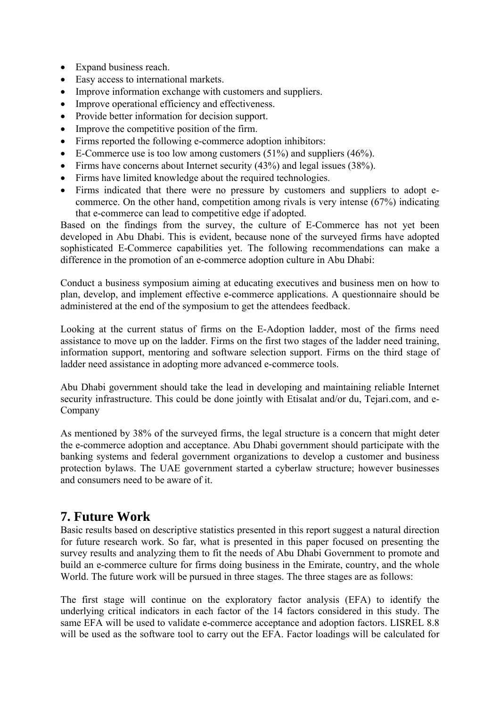- Expand business reach.
- Easy access to international markets.
- Improve information exchange with customers and suppliers.
- Improve operational efficiency and effectiveness.
- Provide better information for decision support.
- Improve the competitive position of the firm.
- Firms reported the following e-commerce adoption inhibitors:
- E-Commerce use is too low among customers  $(51\%)$  and suppliers  $(46\%)$ .
- Firms have concerns about Internet security (43%) and legal issues (38%).
- Firms have limited knowledge about the required technologies.
- Firms indicated that there were no pressure by customers and suppliers to adopt ecommerce. On the other hand, competition among rivals is very intense (67%) indicating that e-commerce can lead to competitive edge if adopted.

Based on the findings from the survey, the culture of E-Commerce has not yet been developed in Abu Dhabi. This is evident, because none of the surveyed firms have adopted sophisticated E-Commerce capabilities yet. The following recommendations can make a difference in the promotion of an e-commerce adoption culture in Abu Dhabi:

Conduct a business symposium aiming at educating executives and business men on how to plan, develop, and implement effective e-commerce applications. A questionnaire should be administered at the end of the symposium to get the attendees feedback.

Looking at the current status of firms on the E-Adoption ladder, most of the firms need assistance to move up on the ladder. Firms on the first two stages of the ladder need training, information support, mentoring and software selection support. Firms on the third stage of ladder need assistance in adopting more advanced e-commerce tools.

Abu Dhabi government should take the lead in developing and maintaining reliable Internet security infrastructure. This could be done jointly with Etisalat and/or du, Tejari.com, and e-Company

As mentioned by 38% of the surveyed firms, the legal structure is a concern that might deter the e-commerce adoption and acceptance. Abu Dhabi government should participate with the banking systems and federal government organizations to develop a customer and business protection bylaws. The UAE government started a cyberlaw structure; however businesses and consumers need to be aware of it.

# **7. Future Work**

Basic results based on descriptive statistics presented in this report suggest a natural direction for future research work. So far, what is presented in this paper focused on presenting the survey results and analyzing them to fit the needs of Abu Dhabi Government to promote and build an e-commerce culture for firms doing business in the Emirate, country, and the whole World. The future work will be pursued in three stages. The three stages are as follows:

The first stage will continue on the exploratory factor analysis (EFA) to identify the underlying critical indicators in each factor of the 14 factors considered in this study. The same EFA will be used to validate e-commerce acceptance and adoption factors. LISREL 8.8 will be used as the software tool to carry out the EFA. Factor loadings will be calculated for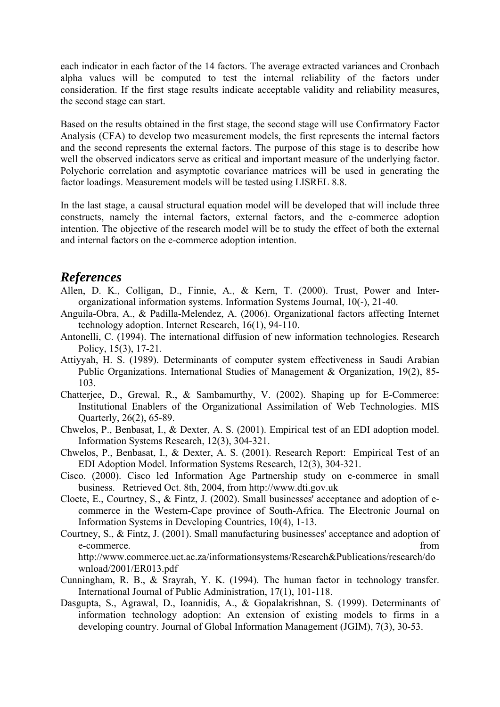each indicator in each factor of the 14 factors. The average extracted variances and Cronbach alpha values will be computed to test the internal reliability of the factors under consideration. If the first stage results indicate acceptable validity and reliability measures, the second stage can start.

Based on the results obtained in the first stage, the second stage will use Confirmatory Factor Analysis (CFA) to develop two measurement models, the first represents the internal factors and the second represents the external factors. The purpose of this stage is to describe how well the observed indicators serve as critical and important measure of the underlying factor. Polychoric correlation and asymptotic covariance matrices will be used in generating the factor loadings. Measurement models will be tested using LISREL 8.8.

In the last stage, a causal structural equation model will be developed that will include three constructs, namely the internal factors, external factors, and the e-commerce adoption intention. The objective of the research model will be to study the effect of both the external and internal factors on the e-commerce adoption intention.

### *References*

- Allen, D. K., Colligan, D., Finnie, A., & Kern, T. (2000). Trust, Power and Interorganizational information systems. Information Systems Journal, 10(-), 21-40.
- Anguila-Obra, A., & Padilla-Melendez, A. (2006). Organizational factors affecting Internet technology adoption. Internet Research, 16(1), 94-110.
- Antonelli, C. (1994). The international diffusion of new information technologies. Research Policy, 15(3), 17-21.
- Attiyyah, H. S. (1989). Determinants of computer system effectiveness in Saudi Arabian Public Organizations. International Studies of Management & Organization, 19(2), 85- 103.
- Chatterjee, D., Grewal, R., & Sambamurthy, V. (2002). Shaping up for E-Commerce: Institutional Enablers of the Organizational Assimilation of Web Technologies. MIS Quarterly, 26(2), 65-89.
- Chwelos, P., Benbasat, I., & Dexter, A. S. (2001). Empirical test of an EDI adoption model. Information Systems Research, 12(3), 304-321.
- Chwelos, P., Benbasat, I., & Dexter, A. S. (2001). Research Report: Empirical Test of an EDI Adoption Model. Information Systems Research, 12(3), 304-321.
- Cisco. (2000). Cisco led Information Age Partnership study on e-commerce in small business. Retrieved Oct. 8th, 2004, from http://www.dti.gov.uk
- Cloete, E., Courtney, S., & Fintz, J. (2002). Small businesses' acceptance and adoption of ecommerce in the Western-Cape province of South-Africa. The Electronic Journal on Information Systems in Developing Countries, 10(4), 1-13.
- Courtney, S., & Fintz, J. (2001). Small manufacturing businesses' acceptance and adoption of e-commerce. from http://www.commerce.uct.ac.za/informationsystems/Research&Publications/research/do

wnload/2001/ER013.pdf

- Cunningham, R. B., & Srayrah, Y. K. (1994). The human factor in technology transfer. International Journal of Public Administration, 17(1), 101-118.
- Dasgupta, S., Agrawal, D., Ioannidis, A., & Gopalakrishnan, S. (1999). Determinants of information technology adoption: An extension of existing models to firms in a developing country. Journal of Global Information Management (JGIM), 7(3), 30-53.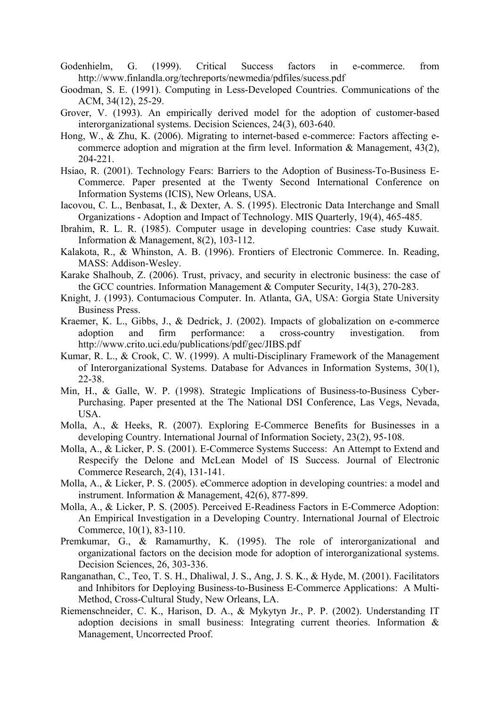- Godenhielm, G. (1999). Critical Success factors in e-commerce. from http://www.finlandla.org/techreports/newmedia/pdfiles/sucess.pdf
- Goodman, S. E. (1991). Computing in Less-Developed Countries. Communications of the ACM, 34(12), 25-29.
- Grover, V. (1993). An empirically derived model for the adoption of customer-based interorganizational systems. Decision Sciences, 24(3), 603-640.
- Hong, W., & Zhu, K. (2006). Migrating to internet-based e-commerce: Factors affecting ecommerce adoption and migration at the firm level. Information  $\&$  Management, 43(2), 204-221.
- Hsiao, R. (2001). Technology Fears: Barriers to the Adoption of Business-To-Business E-Commerce. Paper presented at the Twenty Second International Conference on Information Systems (ICIS), New Orleans, USA.
- Iacovou, C. L., Benbasat, I., & Dexter, A. S. (1995). Electronic Data Interchange and Small Organizations - Adoption and Impact of Technology. MIS Quarterly, 19(4), 465-485.
- Ibrahim, R. L. R. (1985). Computer usage in developing countries: Case study Kuwait. Information & Management, 8(2), 103-112.
- Kalakota, R., & Whinston, A. B. (1996). Frontiers of Electronic Commerce. In. Reading, MASS: Addison-Wesley.
- Karake Shalhoub, Z. (2006). Trust, privacy, and security in electronic business: the case of the GCC countries. Information Management & Computer Security, 14(3), 270-283.
- Knight, J. (1993). Contumacious Computer. In. Atlanta, GA, USA: Gorgia State University Business Press.
- Kraemer, K. L., Gibbs, J., & Dedrick, J. (2002). Impacts of globalization on e-commerce adoption and firm performance: a cross-country investigation. from http://www.crito.uci.edu/publications/pdf/gec/JIBS.pdf
- Kumar, R. L., & Crook, C. W. (1999). A multi-Disciplinary Framework of the Management of Interorganizational Systems. Database for Advances in Information Systems, 30(1), 22-38.
- Min, H., & Galle, W. P. (1998). Strategic Implications of Business-to-Business Cyber-Purchasing. Paper presented at the The National DSI Conference, Las Vegs, Nevada, USA.
- Molla, A., & Heeks, R. (2007). Exploring E-Commerce Benefits for Businesses in a developing Country. International Journal of Information Society, 23(2), 95-108.
- Molla, A., & Licker, P. S. (2001). E-Commerce Systems Success: An Attempt to Extend and Respecify the Delone and McLean Model of IS Success. Journal of Electronic Commerce Research, 2(4), 131-141.
- Molla, A., & Licker, P. S. (2005). eCommerce adoption in developing countries: a model and instrument. Information & Management, 42(6), 877-899.
- Molla, A., & Licker, P. S. (2005). Perceived E-Readiness Factors in E-Commerce Adoption: An Empirical Investigation in a Developing Country. International Journal of Electroic Commerce, 10(1), 83-110.
- Premkumar, G., & Ramamurthy, K. (1995). The role of interorganizational and organizational factors on the decision mode for adoption of interorganizational systems. Decision Sciences, 26, 303-336.
- Ranganathan, C., Teo, T. S. H., Dhaliwal, J. S., Ang, J. S. K., & Hyde, M. (2001). Facilitators and Inhibitors for Deploying Business-to-Business E-Commerce Applications: A Multi-Method, Cross-Cultural Study, New Orleans, LA.
- Riemenschneider, C. K., Harison, D. A., & Mykytyn Jr., P. P. (2002). Understanding IT adoption decisions in small business: Integrating current theories. Information & Management, Uncorrected Proof.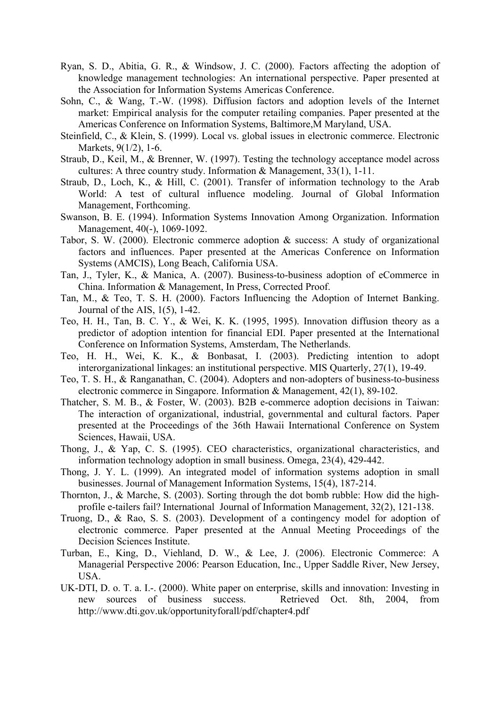- Ryan, S. D., Abitia, G. R., & Windsow, J. C. (2000). Factors affecting the adoption of knowledge management technologies: An international perspective. Paper presented at the Association for Information Systems Americas Conference.
- Sohn, C., & Wang, T.-W. (1998). Diffusion factors and adoption levels of the Internet market: Empirical analysis for the computer retailing companies. Paper presented at the Americas Conference on Information Systems, Baltimore,M Maryland, USA.
- Steinfield, C., & Klein, S. (1999). Local vs. global issues in electronic commerce. Electronic Markets, 9(1/2), 1-6.
- Straub, D., Keil, M., & Brenner, W. (1997). Testing the technology acceptance model across cultures: A three country study. Information & Management, 33(1), 1-11.
- Straub, D., Loch, K., & Hill, C. (2001). Transfer of information technology to the Arab World: A test of cultural influence modeling. Journal of Global Information Management, Forthcoming.
- Swanson, B. E. (1994). Information Systems Innovation Among Organization. Information Management, 40(-), 1069-1092.
- Tabor, S. W. (2000). Electronic commerce adoption & success: A study of organizational factors and influences. Paper presented at the Americas Conference on Information Systems (AMCIS), Long Beach, California USA.
- Tan, J., Tyler, K., & Manica, A. (2007). Business-to-business adoption of eCommerce in China. Information & Management, In Press, Corrected Proof.
- Tan, M., & Teo, T. S. H. (2000). Factors Influencing the Adoption of Internet Banking. Journal of the AIS, 1(5), 1-42.
- Teo, H. H., Tan, B. C. Y., & Wei, K. K. (1995, 1995). Innovation diffusion theory as a predictor of adoption intention for financial EDI. Paper presented at the International Conference on Information Systems, Amsterdam, The Netherlands.
- Teo, H. H., Wei, K. K., & Bonbasat, I. (2003). Predicting intention to adopt interorganizational linkages: an institutional perspective. MIS Quarterly, 27(1), 19-49.
- Teo, T. S. H., & Ranganathan, C. (2004). Adopters and non-adopters of business-to-business electronic commerce in Singapore. Information & Management, 42(1), 89-102.
- Thatcher, S. M. B., & Foster, W. (2003). B2B e-commerce adoption decisions in Taiwan: The interaction of organizational, industrial, governmental and cultural factors. Paper presented at the Proceedings of the 36th Hawaii International Conference on System Sciences, Hawaii, USA.
- Thong, J., & Yap, C. S. (1995). CEO characteristics, organizational characteristics, and information technology adoption in small business. Omega, 23(4), 429-442.
- Thong, J. Y. L. (1999). An integrated model of information systems adoption in small businesses. Journal of Management Information Systems, 15(4), 187-214.
- Thornton, J., & Marche, S. (2003). Sorting through the dot bomb rubble: How did the highprofile e-tailers fail? International Journal of Information Management, 32(2), 121-138.
- Truong, D., & Rao, S. S. (2003). Development of a contingency model for adoption of electronic commerce. Paper presented at the Annual Meeting Proceedings of the Decision Sciences Institute.
- Turban, E., King, D., Viehland, D. W., & Lee, J. (2006). Electronic Commerce: A Managerial Perspective 2006: Pearson Education, Inc., Upper Saddle River, New Jersey, USA.
- UK-DTI, D. o. T. a. I.-. (2000). White paper on enterprise, skills and innovation: Investing in new sources of business success. Retrieved Oct. 8th, 2004, from http://www.dti.gov.uk/opportunityforall/pdf/chapter4.pdf